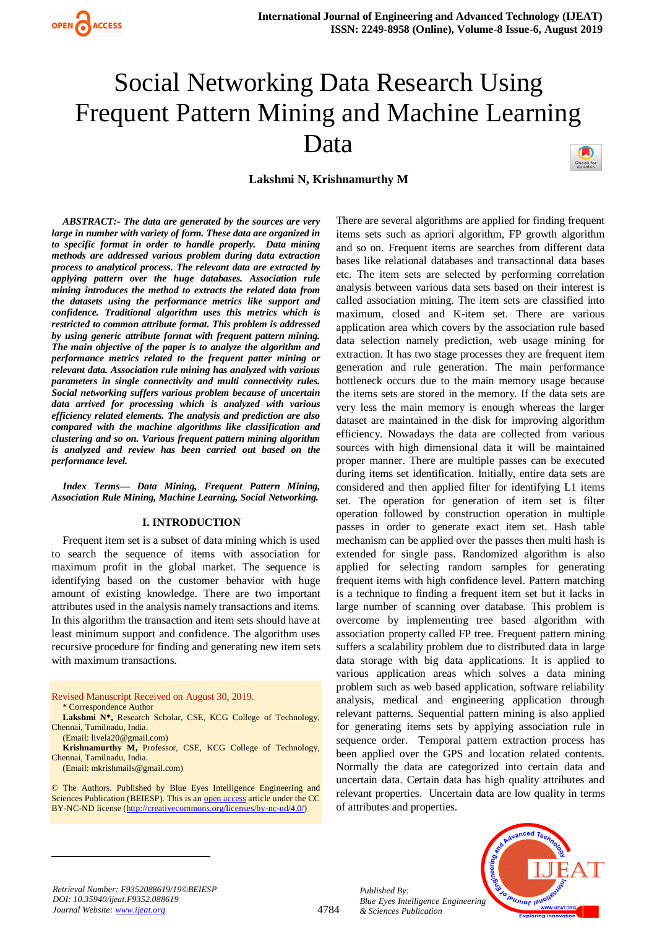

# Social Networking Data Research Using Frequent Pattern Mining and Machine Learning Data

**Lakshmi N, Krishnamurthy M**

*ABSTRACT:- The data are generated by the sources are very large in number with variety of form. These data are organized in to specific format in order to handle properly. Data mining methods are addressed various problem during data extraction process to analytical process. The relevant data are extracted by applying pattern over the huge databases. Association rule mining introduces the method to extracts the related data from the datasets using the performance metrics like support and confidence. Traditional algorithm uses this metrics which is restricted to common attribute format. This problem is addressed by using generic attribute format with frequent pattern mining. The main objective of the paper is to analyze the algorithm and performance metrics related to the frequent patter mining or relevant data. Association rule mining has analyzed with various parameters in single connectivity and multi connectivity rules. Social networking suffers various problem because of uncertain data arrived for processing which is analyzed with various efficiency related elements. The analysis and prediction are also compared with the machine algorithms like classification and clustering and so on. Various frequent pattern mining algorithm is analyzed and review has been carried out based on the performance level.* 

*Index Terms— Data Mining, Frequent Pattern Mining, Association Rule Mining, Machine Learning, Social Networking.*

#### **I. INTRODUCTION**

Frequent item set is a subset of data mining which is used to search the sequence of items with association for maximum profit in the global market. The sequence is identifying based on the customer behavior with huge amount of existing knowledge. There are two important attributes used in the analysis namely transactions and items. In this algorithm the transaction and item sets should have at least minimum support and confidence. The algorithm uses recursive procedure for finding and generating new item sets with maximum transactions.

Revised Manuscript Received on August 30, 2019. \* Correspondence Author

**Lakshmi N\*,** Research Scholar, CSE, KCG College of Technology, Chennai, Tamilnadu, India.

(Email: livela20@gmail.com)

**Krishnamurthy M,** Professor, CSE, KCG College of Technology, Chennai, Tamilnadu, India.

(Email: mkrishmails@gmail.com)

 $\overline{a}$ 

© The Authors. Published by Blue Eyes Intelligence Engineering and Sciences Publication (BEIESP). This is an [open access](https://www.openaccess.nl/en/open-publications) article under the CC BY-NC-ND license [\(http://creativecommons.org/licenses/by-nc-nd/4.0/\)](http://creativecommons.org/licenses/by-nc-nd/4.0/)

There are several algorithms are applied for finding frequent items sets such as apriori algorithm, FP growth algorithm and so on. Frequent items are searches from different data bases like relational databases and transactional data bases etc. The item sets are selected by performing correlation analysis between various data sets based on their interest is called association mining. The item sets are classified into maximum, closed and K-item set. There are various application area which covers by the association rule based data selection namely prediction, web usage mining for extraction. It has two stage processes they are frequent item generation and rule generation. The main performance bottleneck occurs due to the main memory usage because the items sets are stored in the memory. If the data sets are very less the main memory is enough whereas the larger dataset are maintained in the disk for improving algorithm efficiency. Nowadays the data are collected from various sources with high dimensional data it will be maintained proper manner. There are multiple passes can be executed during items set identification. Initially, entire data sets are considered and then applied filter for identifying L1 items set. The operation for generation of item set is filter operation followed by construction operation in multiple passes in order to generate exact item set. Hash table mechanism can be applied over the passes then multi hash is extended for single pass. Randomized algorithm is also applied for selecting random samples for generating frequent items with high confidence level. Pattern matching is a technique to finding a frequent item set but it lacks in large number of scanning over database. This problem is overcome by implementing tree based algorithm with association property called FP tree. Frequent pattern mining suffers a scalability problem due to distributed data in large data storage with big data applications. It is applied to various application areas which solves a data mining problem such as web based application, software reliability analysis, medical and engineering application through relevant patterns. Sequential pattern mining is also applied for generating items sets by applying association rule in sequence order. Temporal pattern extraction process has been applied over the GPS and location related contents. Normally the data are categorized into certain data and uncertain data. Certain data has high quality attributes and relevant properties. Uncertain data are low quality in terms of attributes and properties.



*Retrieval Number: F9352088619/19©BEIESP DOI: 10.35940/ijeat.F9352.088619 Journal Website: www.ijeat.org*

4784

*Published By: Blue Eyes Intelligence Engineering & Sciences Publication*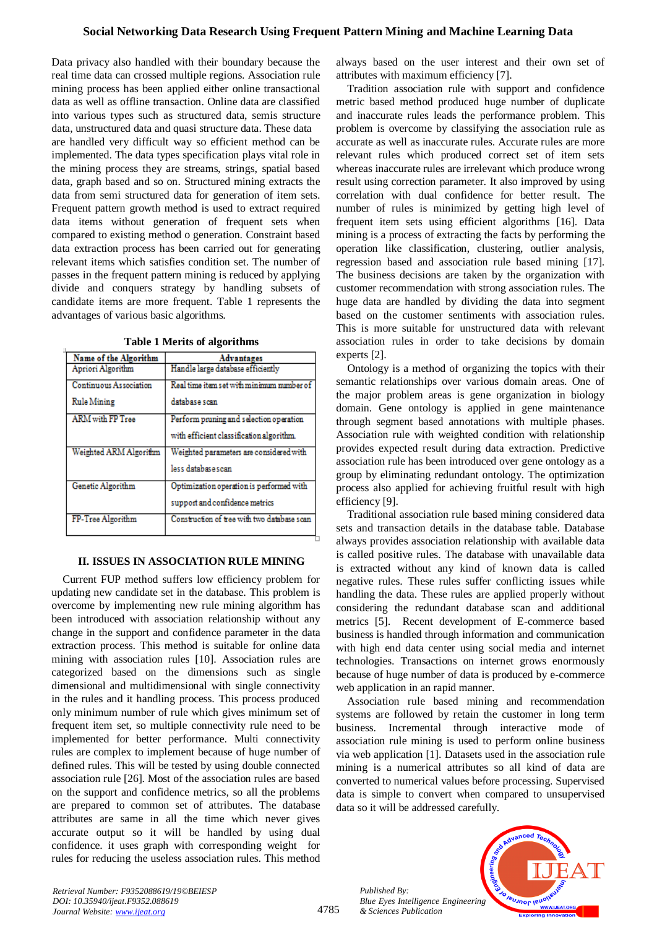# **Social Networking Data Research Using Frequent Pattern Mining and Machine Learning Data**

Data privacy also handled with their boundary because the real time data can crossed multiple regions. Association rule mining process has been applied either online transactional data as well as offline transaction. Online data are classified into various types such as structured data, semis structure data, unstructured data and quasi structure data. These data are handled very difficult way so efficient method can be implemented. The data types specification plays vital role in the mining process they are streams, strings, spatial based data, graph based and so on. Structured mining extracts the data from semi structured data for generation of item sets. Frequent pattern growth method is used to extract required data items without generation of frequent sets when compared to existing method o generation. Constraint based data extraction process has been carried out for generating relevant items which satisfies condition set. The number of passes in the frequent pattern mining is reduced by applying divide and conquers strategy by handling subsets of candidate items are more frequent. Table 1 represents the advantages of various basic algorithms.

| Name of the Algorithm         | <b>Advantages</b>                           |
|-------------------------------|---------------------------------------------|
| Apriori Algorithm             | Handle large database efficiently           |
| <b>Continuous Association</b> | Real time item set with minimum number of   |
| Rule Mining                   | database scan                               |
| ARM with FP Tree              | Perform pruning and selection operation     |
|                               | with efficient classification algorithm.    |
| Weighted ARM Algorithm        | Weighted parameters are considered with     |
|                               | less databasescan                           |
| Genetic Algorithm             | Optimization operation is performed with    |
|                               | support and confidence metrics              |
| FP-Tree Algorithm             | Construction of tree with two database scan |

**Table 1 Merits of algorithms**

#### **II. ISSUES IN ASSOCIATION RULE MINING**

Current FUP method suffers low efficiency problem for updating new candidate set in the database. This problem is overcome by implementing new rule mining algorithm has been introduced with association relationship without any change in the support and confidence parameter in the data extraction process. This method is suitable for online data mining with association rules [10]. Association rules are categorized based on the dimensions such as single dimensional and multidimensional with single connectivity in the rules and it handling process. This process produced only minimum number of rule which gives minimum set of frequent item set, so multiple connectivity rule need to be implemented for better performance. Multi connectivity rules are complex to implement because of huge number of defined rules. This will be tested by using double connected association rule [26]. Most of the association rules are based on the support and confidence metrics, so all the problems are prepared to common set of attributes. The database attributes are same in all the time which never gives accurate output so it will be handled by using dual confidence. it uses graph with corresponding weight for rules for reducing the useless association rules. This method

always based on the user interest and their own set of attributes with maximum efficiency [7].

Tradition association rule with support and confidence metric based method produced huge number of duplicate and inaccurate rules leads the performance problem. This problem is overcome by classifying the association rule as accurate as well as inaccurate rules. Accurate rules are more relevant rules which produced correct set of item sets whereas inaccurate rules are irrelevant which produce wrong result using correction parameter. It also improved by using correlation with dual confidence for better result. The number of rules is minimized by getting high level of frequent item sets using efficient algorithms [16]. Data mining is a process of extracting the facts by performing the operation like classification, clustering, outlier analysis, regression based and association rule based mining [17]. The business decisions are taken by the organization with customer recommendation with strong association rules. The huge data are handled by dividing the data into segment based on the customer sentiments with association rules. This is more suitable for unstructured data with relevant association rules in order to take decisions by domain experts [2].

Ontology is a method of organizing the topics with their semantic relationships over various domain areas. One of the major problem areas is gene organization in biology domain. Gene ontology is applied in gene maintenance through segment based annotations with multiple phases. Association rule with weighted condition with relationship provides expected result during data extraction. Predictive association rule has been introduced over gene ontology as a group by eliminating redundant ontology. The optimization process also applied for achieving fruitful result with high efficiency [9].

Traditional association rule based mining considered data sets and transaction details in the database table. Database always provides association relationship with available data is called positive rules. The database with unavailable data is extracted without any kind of known data is called negative rules. These rules suffer conflicting issues while handling the data. These rules are applied properly without considering the redundant database scan and additional metrics [5]. Recent development of E-commerce based business is handled through information and communication with high end data center using social media and internet technologies. Transactions on internet grows enormously because of huge number of data is produced by e-commerce web application in an rapid manner.

Association rule based mining and recommendation systems are followed by retain the customer in long term business. Incremental through interactive mode of association rule mining is used to perform online business via web application [1]. Datasets used in the association rule mining is a numerical attributes so all kind of data are converted to numerical values before processing. Supervised data is simple to convert when compared to unsupervised data so it will be addressed carefully.

*Published By: Blue Eyes Intelligence Engineering & Sciences Publication* 



*Retrieval Number: F9352088619/19©BEIESP DOI: 10.35940/ijeat.F9352.088619 Journal Website: www.ijeat.org*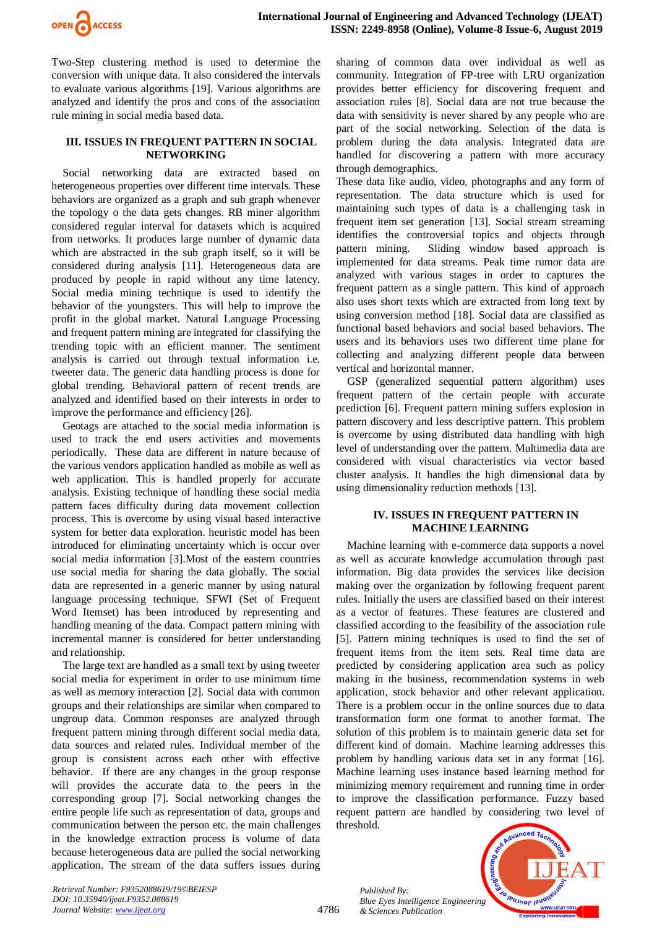

Two-Step clustering method is used to determine the conversion with unique data. It also considered the intervals to evaluate various algorithms [19]. Various algorithms are analyzed and identify the pros and cons of the association rule mining in social media based data.

#### **III. ISSUES IN FREQUENT PATTERN IN SOCIAL NETWORKING**

Social networking data are extracted based on heterogeneous properties over different time intervals. These behaviors are organized as a graph and sub graph whenever the topology o the data gets changes. RB miner algorithm considered regular interval for datasets which is acquired from networks. It produces large number of dynamic data which are abstracted in the sub graph itself, so it will be considered during analysis [11]. Heterogeneous data are produced by people in rapid without any time latency. Social media mining technique is used to identify the behavior of the youngsters. This will help to improve the profit in the global market. Natural Language Processing and frequent pattern mining are integrated for classifying the trending topic with an efficient manner. The sentiment analysis is carried out through textual information i.e. tweeter data. The generic data handling process is done for global trending. Behavioral pattern of recent trends are analyzed and identified based on their interests in order to improve the performance and efficiency [26].

Geotags are attached to the social media information is used to track the end users activities and movements periodically. These data are different in nature because of the various vendors application handled as mobile as well as web application. This is handled properly for accurate analysis. Existing technique of handling these social media pattern faces difficulty during data movement collection process. This is overcome by using visual based interactive system for better data exploration. heuristic model has been introduced for eliminating uncertainty which is occur over social media information [3].Most of the eastern countries use social media for sharing the data globally. The social data are represented in a generic manner by using natural language processing technique. SFWI (Set of Frequent Word Itemset) has been introduced by representing and handling meaning of the data. Compact pattern mining with incremental manner is considered for better understanding and relationship.

The large text are handled as a small text by using tweeter social media for experiment in order to use minimum time as well as memory interaction [2]. Social data with common groups and their relationships are similar when compared to ungroup data. Common responses are analyzed through frequent pattern mining through different social media data, data sources and related rules. Individual member of the group is consistent across each other with effective behavior. If there are any changes in the group response will provides the accurate data to the peers in the corresponding group [7]. Social networking changes the entire people life such as representation of data, groups and communication between the person etc. the main challenges in the knowledge extraction process is volume of data because heterogeneous data are pulled the social networking application. The stream of the data suffers issues during sharing of common data over individual as well as community. Integration of FP-tree with LRU organization provides better efficiency for discovering frequent and association rules [8]. Social data are not true because the data with sensitivity is never shared by any people who are part of the social networking. Selection of the data is problem during the data analysis. Integrated data are handled for discovering a pattern with more accuracy through demographics.

These data like audio, video, photographs and any form of representation. The data structure which is used for maintaining such types of data is a challenging task in frequent item set generation [13]. Social stream streaming identifies the controversial topics and objects through pattern mining. Sliding window based approach is implemented for data streams. Peak time rumor data are analyzed with various stages in order to captures the frequent pattern as a single pattern. This kind of approach also uses short texts which are extracted from long text by using conversion method [18]. Social data are classified as functional based behaviors and social based behaviors. The users and its behaviors uses two different time plane for collecting and analyzing different people data between vertical and horizontal manner.

GSP (generalized sequential pattern algorithm) uses frequent pattern of the certain people with accurate prediction [6]. Frequent pattern mining suffers explosion in pattern discovery and less descriptive pattern. This problem is overcome by using distributed data handling with high level of understanding over the pattern. Multimedia data are considered with visual characteristics via vector based cluster analysis. It handles the high dimensional data by using dimensionality reduction methods [13].

## **IV. ISSUES IN FREQUENT PATTERN IN MACHINE LEARNING**

Machine learning with e-commerce data supports a novel as well as accurate knowledge accumulation through past information. Big data provides the services like decision making over the organization by following frequent parent rules. Initially the users are classified based on their interest as a vector of features. These features are clustered and classified according to the feasibility of the association rule [5]. Pattern mining techniques is used to find the set of frequent items from the item sets. Real time data are predicted by considering application area such as policy making in the business, recommendation systems in web application, stock behavior and other relevant application. There is a problem occur in the online sources due to data transformation form one format to another format. The solution of this problem is to maintain generic data set for different kind of domain. Machine learning addresses this problem by handling various data set in any format [16]. Machine learning uses instance based learning method for minimizing memory requirement and running time in order to improve the classification performance. Fuzzy based requent pattern are handled by considering two level of threshold.

*Published By: Blue Eyes Intelligence Engineering & Sciences Publication* 



*Retrieval Number: F9352088619/19©BEIESP DOI: 10.35940/ijeat.F9352.088619 Journal Website: www.ijeat.org*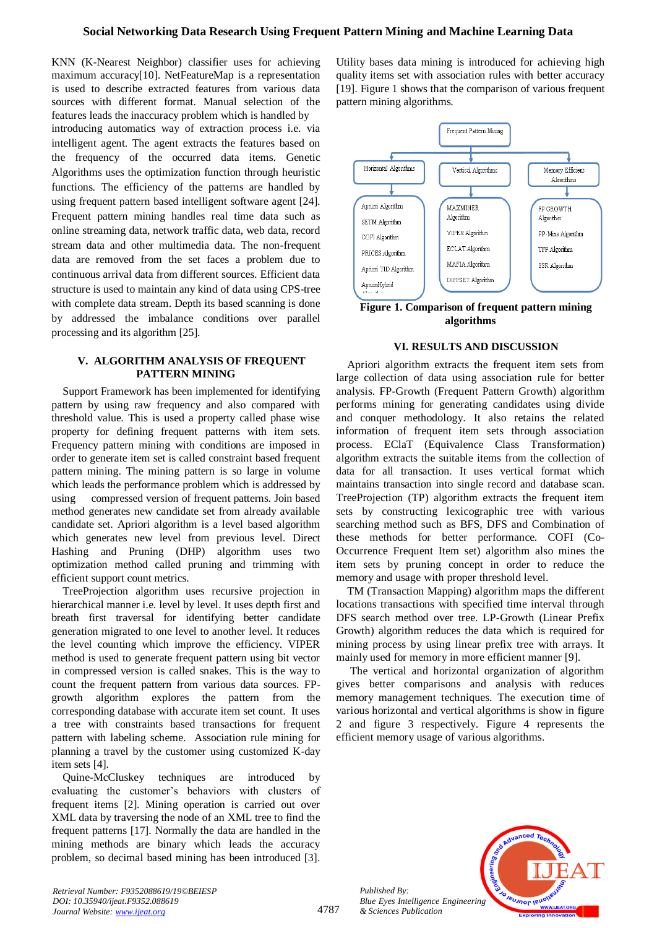KNN (K-Nearest Neighbor) classifier uses for achieving maximum accuracy[10]. NetFeatureMap is a representation is used to describe extracted features from various data sources with different format. Manual selection of the features leads the inaccuracy problem which is handled by introducing automatics way of extraction process i.e. via intelligent agent. The agent extracts the features based on the frequency of the occurred data items. Genetic Algorithms uses the optimization function through heuristic functions. The efficiency of the patterns are handled by using frequent pattern based intelligent software agent [24]. Frequent pattern mining handles real time data such as online streaming data, network traffic data, web data, record stream data and other multimedia data. The non-frequent data are removed from the set faces a problem due to continuous arrival data from different sources. Efficient data structure is used to maintain any kind of data using CPS-tree with complete data stream. Depth its based scanning is done by addressed the imbalance conditions over parallel processing and its algorithm [25].

## **V. ALGORITHM ANALYSIS OF FREQUENT PATTERN MINING**

Support Framework has been implemented for identifying pattern by using raw frequency and also compared with threshold value. This is used a property called phase wise property for defining frequent patterns with item sets. Frequency pattern mining with conditions are imposed in order to generate item set is called constraint based frequent pattern mining. The mining pattern is so large in volume which leads the performance problem which is addressed by using compressed version of frequent patterns. Join based method generates new candidate set from already available candidate set. Apriori algorithm is a level based algorithm which generates new level from previous level. Direct Hashing and Pruning (DHP) algorithm uses two optimization method called pruning and trimming with efficient support count metrics.

TreeProjection algorithm uses recursive projection in hierarchical manner i.e. level by level. It uses depth first and breath first traversal for identifying better candidate generation migrated to one level to another level. It reduces the level counting which improve the efficiency. VIPER method is used to generate frequent pattern using bit vector in compressed version is called snakes. This is the way to count the frequent pattern from various data sources. FPgrowth algorithm explores the pattern from the corresponding database with accurate item set count. It uses a tree with constraints based transactions for frequent pattern with labeling scheme. Association rule mining for planning a travel by the customer using customized K-day item sets [4].

Quine**-**McCluskey techniques are introduced by evaluating the customer's behaviors with clusters of frequent items [2]. Mining operation is carried out over XML data by traversing the node of an XML tree to find the frequent patterns [17]. Normally the data are handled in the mining methods are binary which leads the accuracy problem, so decimal based mining has been introduced [3].

Utility bases data mining is introduced for achieving high quality items set with association rules with better accuracy [19]. Figure 1 shows that the comparison of various frequent pattern mining algorithms.



**Figure 1. Comparison of frequent pattern mining algorithms**

## **VI. RESULTS AND DISCUSSION**

Apriori algorithm extracts the frequent item sets from large collection of data using association rule for better analysis. FP-Growth (Frequent Pattern Growth) algorithm performs mining for generating candidates using divide and conquer methodology. It also retains the related information of frequent item sets through association process. EClaT (Equivalence Class Transformation) algorithm extracts the suitable items from the collection of data for all transaction. It uses vertical format which maintains transaction into single record and database scan. TreeProjection (TP) algorithm extracts the frequent item sets by constructing lexicographic tree with various searching method such as BFS, DFS and Combination of these methods for better performance. COFI (Co-Occurrence Frequent Item set) algorithm also mines the item sets by pruning concept in order to reduce the memory and usage with proper threshold level.

TM (Transaction Mapping) algorithm maps the different locations transactions with specified time interval through DFS search method over tree. LP-Growth (Linear Prefix Growth) algorithm reduces the data which is required for mining process by using linear prefix tree with arrays. It mainly used for memory in more efficient manner [9].

The vertical and horizontal organization of algorithm gives better comparisons and analysis with reduces memory management techniques. The execution time of various horizontal and vertical algorithms is show in figure 2 and figure 3 respectively. Figure 4 represents the efficient memory usage of various algorithms.



*Retrieval Number: F9352088619/19©BEIESP DOI: 10.35940/ijeat.F9352.088619 Journal Website: www.ijeat.org*

*Published By: Blue Eyes Intelligence Engineering & Sciences Publication*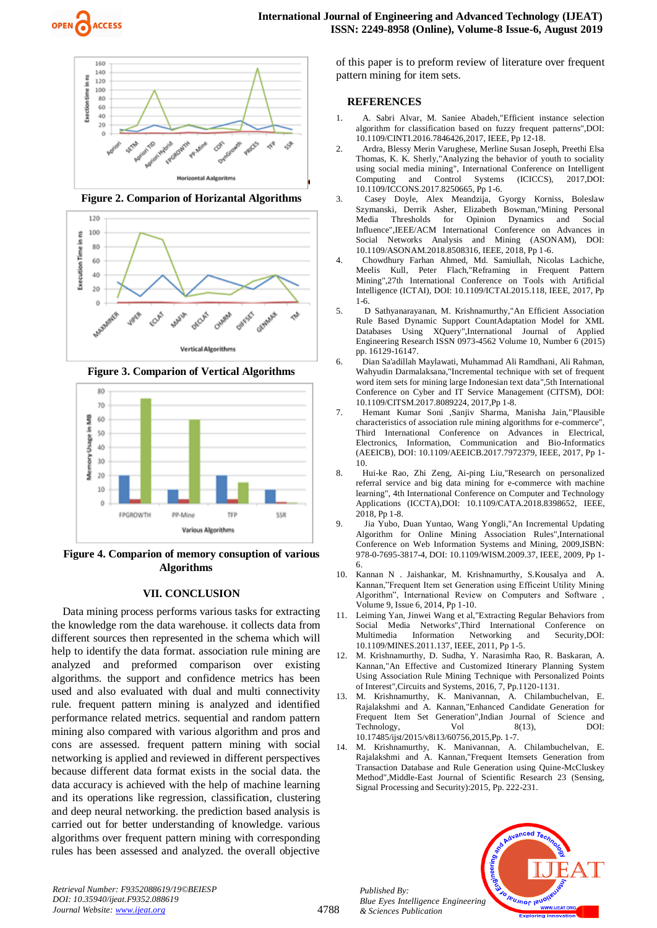



**Figure 2. Comparion of Horizantal Algorithms**



**Figure 3. Comparion of Vertical Algorithms**



**Figure 4. Comparion of memory consuption of various Algorithms**

#### **VII. CONCLUSION**

Data mining process performs various tasks for extracting the knowledge rom the data warehouse. it collects data from different sources then represented in the schema which will help to identify the data format. association rule mining are analyzed and preformed comparison over existing algorithms. the support and confidence metrics has been used and also evaluated with dual and multi connectivity rule. frequent pattern mining is analyzed and identified performance related metrics. sequential and random pattern mining also compared with various algorithm and pros and cons are assessed. frequent pattern mining with social networking is applied and reviewed in different perspectives because different data format exists in the social data. the data accuracy is achieved with the help of machine learning and its operations like regression, classification, clustering and deep neural networking. the prediction based analysis is carried out for better understanding of knowledge. various algorithms over frequent pattern mining with corresponding rules has been assessed and analyzed. the overall objective

of this paper is to preform review of literature over frequent pattern mining for item sets.

#### **REFERENCES**

- 1. A. Sabri Alvar, M. Saniee Abadeh,"Efficient instance selection algorithm for classification based on fuzzy frequent patterns",DOI: 10.1109/CINTI.2016.7846426,2017, IEEE, Pp 12-18.
- 2. Ardra, Blessy Merin Varughese, Merline Susan Joseph, Preethi Elsa Thomas, K. K. Sherly,"Analyzing the behavior of youth to sociality using social media mining", International Conference on Intelligent Computing and Control Systems (ICICCS), 2017,DOI: 10.1109/ICCONS.2017.8250665, Pp 1-6.
- 3. Casey Doyle, Alex Meandzija, Gyorgy Korniss, Boleslaw Szymanski, Derrik Asher, Elizabeth Bowman,"Mining Personal Media Thresholds for Opinion Dynamics and Social Influence",IEEE/ACM International Conference on Advances in Social Networks Analysis and Mining (ASONAM), DOI: 10.1109/ASONAM.2018.8508316, IEEE, 2018, Pp 1-6.
- 4. Chowdhury Farhan Ahmed, Md. Samiullah, Nicolas Lachiche, Meelis Kull, Peter Flach,"Reframing in Frequent Pattern Mining",27th International Conference on Tools with Artificial Intelligence (ICTAI), DOI: 10.1109/ICTAI.2015.118, IEEE, 2017, Pp 1-6.
- 5. D Sathyanarayanan, M. Krishnamurthy,"An Efficient Association Rule Based Dynamic Support CountAdaptation Model for XML Databases Using XQuery",International Journal of Applied Engineering Research ISSN 0973-4562 Volume 10, Number 6 (2015) pp. 16129-16147.
- 6. Dian Sa'adillah Maylawati, Muhammad Ali Ramdhani, Ali Rahman, Wahyudin Darmalaksana,"Incremental technique with set of frequent word item sets for mining large Indonesian text data",5th International Conference on Cyber and IT Service Management (CITSM), DOI: 10.1109/CITSM.2017.8089224, 2017,Pp 1-8.
- 7. Hemant Kumar Soni ,Sanjiv Sharma, Manisha Jain,"Plausible characteristics of association rule mining algorithms for e-commerce", Third International Conference on Advances in Electrical, Electronics, Information, Communication and Bio-Informatics (AEEICB), DOI: 10.1109/AEEICB.2017.7972379, IEEE, 2017, Pp 1- 10.
- 8. Hui-ke Rao, Zhi Zeng, Ai-ping Liu,"Research on personalized referral service and big data mining for e-commerce with machine learning", 4th International Conference on Computer and Technology Applications (ICCTA),DOI: 10.1109/CATA.2018.8398652, IEEE,  $2018$ , Pp 1-8.
- 9. Jia Yubo, Duan Yuntao, Wang Yongli,"An Incremental Updating Algorithm for Online Mining Association Rules",International Conference on Web Information Systems and Mining, 2009,ISBN: 978-0-7695-3817-4, DOI: 10.1109/WISM.2009.37, IEEE, 2009, Pp 1- 6.
- 10. Kannan N . Jaishankar, M. Krishnamurthy, S.Kousalya and Kannan,"Frequent Item set Generation using Efficeint Utility Mining Algorithm", International Review on Computers and Software , Volume 9, Issue 6, 2014, Pp 1-10.
- Leiming Yan, Jinwei Wang et al, "Extracting Regular Behaviors from Social Media Networks",Third International Conference on Multimedia Information Networking and Security,DOI: 10.1109/MINES.2011.137, IEEE, 2011, Pp 1-5.
- 12. M. Krishnamurthy, D. Sudha, Y. Narasimha Rao, R. Baskaran, A. Kannan,"An Effective and Customized Itinerary Planning System Using Association Rule Mining Technique with Personalized Points of Interest",Circuits and Systems, 2016, 7, Pp.1120-1131.
- 13. M. Krishnamurthy, K. Manivannan, A. Chilambuchelvan, E. Rajalakshmi and A. Kannan,"Enhanced Candidate Generation for Frequent Item Set Generation",Indian Journal of Science and Technology,  $Vol$  8(13), DOI: 10.17485/ijst/2015/v8i13/60756,2015,Pp. 1-7.
- 14. M. Krishnamurthy, K. Manivannan, A. Chilambuchelvan, E. Rajalakshmi and A. Kannan,"Frequent Itemsets Generation from Transaction Database and Rule Generation using Quine-McCluskey Method",Middle-East Journal of Scientific Research 23 (Sensing, Signal Processing and Security):2015, Pp. 222-231.



*Retrieval Number: F9352088619/19©BEIESP DOI: 10.35940/ijeat.F9352.088619 Journal Website: www.ijeat.org*

*Published By: Blue Eyes Intelligence Engineering & Sciences Publication*